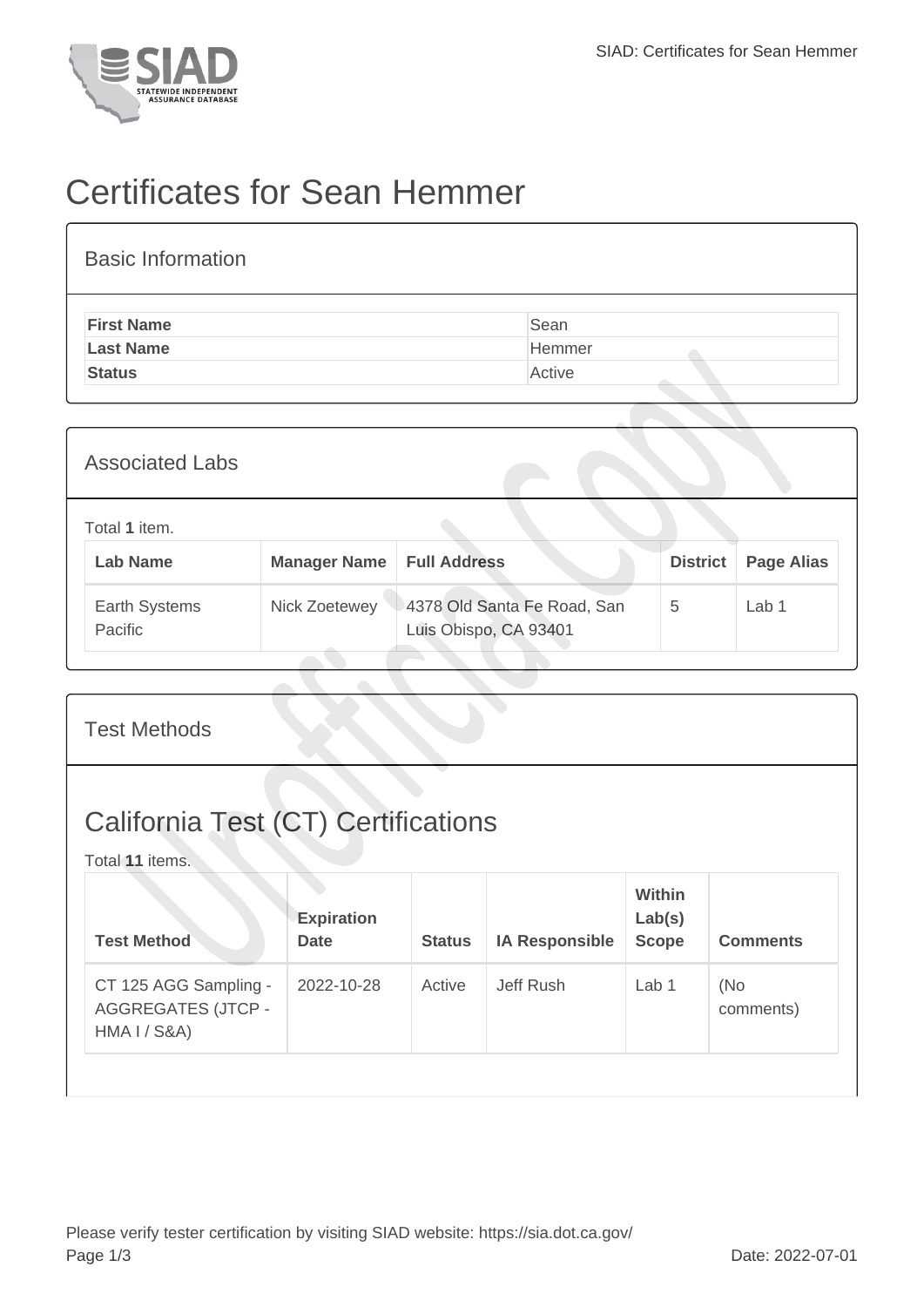

## Certificates for Sean Hemmer

| <b>First Name</b><br>Sean<br><b>Last Name</b><br>Hemmer<br><b>Status</b><br>Active | <b>Basic Information</b> |  |
|------------------------------------------------------------------------------------|--------------------------|--|
|                                                                                    |                          |  |
|                                                                                    |                          |  |
|                                                                                    |                          |  |

| <b>Associated Labs</b>           |                     |                                                      |                 |                   |
|----------------------------------|---------------------|------------------------------------------------------|-----------------|-------------------|
| Total 1 item.<br><b>Lab Name</b> | <b>Manager Name</b> | <b>Full Address</b>                                  | <b>District</b> | <b>Page Alias</b> |
| Earth Systems<br>Pacific         | Nick Zoetewey       | 4378 Old Santa Fe Road, San<br>Luis Obispo, CA 93401 | 5               | Lab 1             |

| <b>Test Methods</b>                                                |                                  |               |                       |                                  |                  |
|--------------------------------------------------------------------|----------------------------------|---------------|-----------------------|----------------------------------|------------------|
| <b>California Test (CT) Certifications</b><br>Total 11 items.      |                                  |               |                       |                                  |                  |
| <b>Test Method</b>                                                 | <b>Expiration</b><br><b>Date</b> | <b>Status</b> | <b>IA Responsible</b> | Within<br>Lab(s)<br><b>Scope</b> | <b>Comments</b>  |
| CT 125 AGG Sampling -<br><b>AGGREGATES (JTCP -</b><br>HMA I / S&A) | 2022-10-28                       | Active        | Jeff Rush             | Lab <sub>1</sub>                 | (No<br>comments) |
|                                                                    |                                  |               |                       |                                  |                  |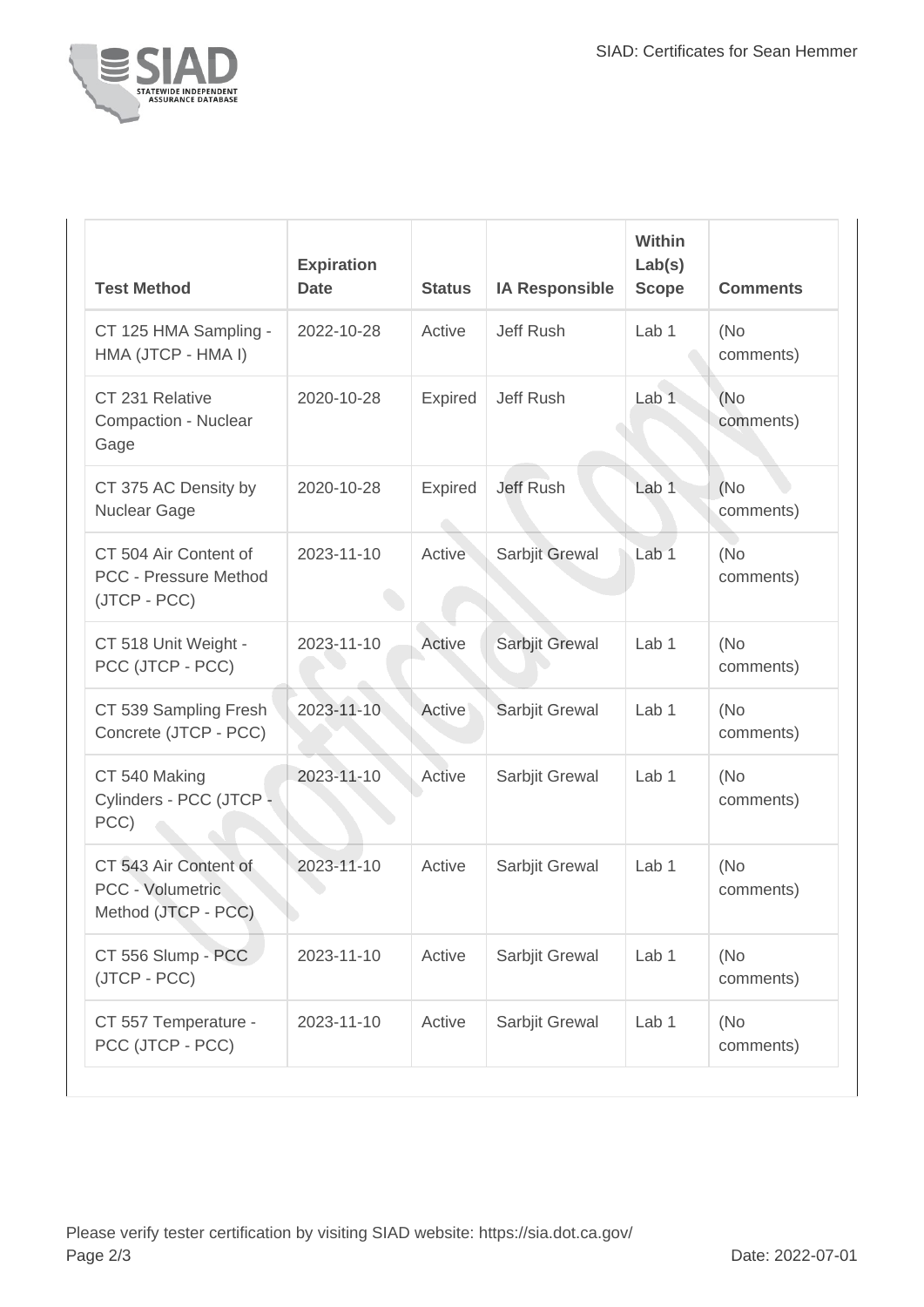

| <b>Test Method</b>                                                    | <b>Expiration</b><br><b>Date</b> | <b>Status</b>  | <b>IA Responsible</b> | <b>Within</b><br>Lab(s)<br><b>Scope</b> | <b>Comments</b>   |
|-----------------------------------------------------------------------|----------------------------------|----------------|-----------------------|-----------------------------------------|-------------------|
| CT 125 HMA Sampling -<br>HMA (JTCP - HMA I)                           | 2022-10-28                       | Active         | <b>Jeff Rush</b>      | Lab <sub>1</sub>                        | (No<br>comments)  |
| CT 231 Relative<br>Compaction - Nuclear<br>Gage                       | 2020-10-28                       | <b>Expired</b> | <b>Jeff Rush</b>      | Lab <sub>1</sub>                        | (No<br>comments)  |
| CT 375 AC Density by<br>Nuclear Gage                                  | 2020-10-28                       | <b>Expired</b> | <b>Jeff Rush</b>      | Lab <sub>1</sub>                        | (No)<br>comments) |
| CT 504 Air Content of<br><b>PCC - Pressure Method</b><br>(JTCP - PCC) | 2023-11-10                       | Active         | Sarbjit Grewal        | Lab <sub>1</sub>                        | (No<br>comments)  |
| CT 518 Unit Weight -<br>PCC (JTCP - PCC)                              | 2023-11-10                       | Active         | Sarbjit Grewal        | Lab <sub>1</sub>                        | (No<br>comments)  |
| CT 539 Sampling Fresh<br>Concrete (JTCP - PCC)                        | 2023-11-10                       | Active         | Sarbjit Grewal        | Lab <sub>1</sub>                        | (No<br>comments)  |
| CT 540 Making<br>Cylinders - PCC (JTCP -<br>PCC)                      | 2023-11-10                       | Active         | Sarbjit Grewal        | Lab <sub>1</sub>                        | (No<br>comments)  |
| CT 543 Air Content of<br>PCC - Volumetric<br>Method (JTCP - PCC)      | 2023-11-10                       | Active         | Sarbjit Grewal        | Lab 1                                   | (No<br>comments)  |
| CT 556 Slump - PCC<br>(JTCP - PCC)                                    | 2023-11-10                       | Active         | Sarbjit Grewal        | Lab 1                                   | (No<br>comments)  |
| CT 557 Temperature -<br>PCC (JTCP - PCC)                              | 2023-11-10                       | Active         | Sarbjit Grewal        | Lab 1                                   | (No<br>comments)  |